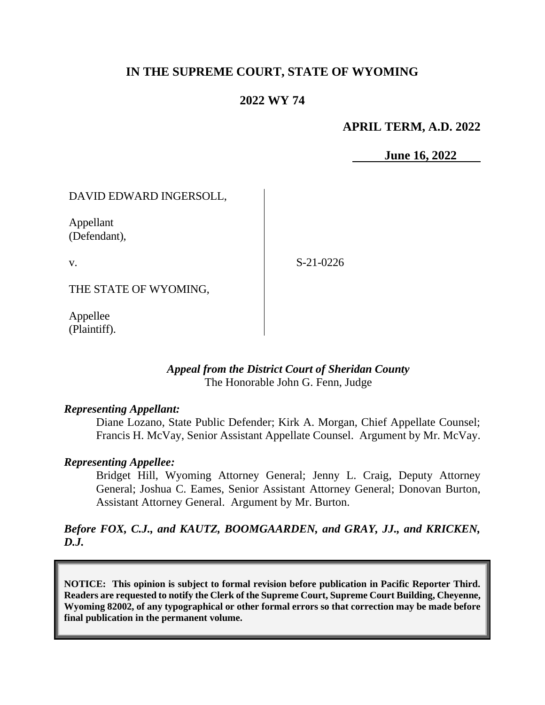## **IN THE SUPREME COURT, STATE OF WYOMING**

### **2022 WY 74**

### **APRIL TERM, A.D. 2022**

**June 16, 2022**

### DAVID EDWARD INGERSOLL,

Appellant (Defendant),

v.

S-21-0226

THE STATE OF WYOMING,

Appellee (Plaintiff).

#### *Appeal from the District Court of Sheridan County* The Honorable John G. Fenn, Judge

#### *Representing Appellant:*

Diane Lozano, State Public Defender; Kirk A. Morgan, Chief Appellate Counsel; Francis H. McVay, Senior Assistant Appellate Counsel. Argument by Mr. McVay.

#### *Representing Appellee:*

Bridget Hill, Wyoming Attorney General; Jenny L. Craig, Deputy Attorney General; Joshua C. Eames, Senior Assistant Attorney General; Donovan Burton, Assistant Attorney General. Argument by Mr. Burton.

### *Before FOX, C.J., and KAUTZ, BOOMGAARDEN, and GRAY, JJ., and KRICKEN, D.J.*

**NOTICE: This opinion is subject to formal revision before publication in Pacific Reporter Third. Readers are requested to notify the Clerk of the Supreme Court, Supreme Court Building, Cheyenne, Wyoming 82002, of any typographical or other formal errors so that correction may be made before final publication in the permanent volume.**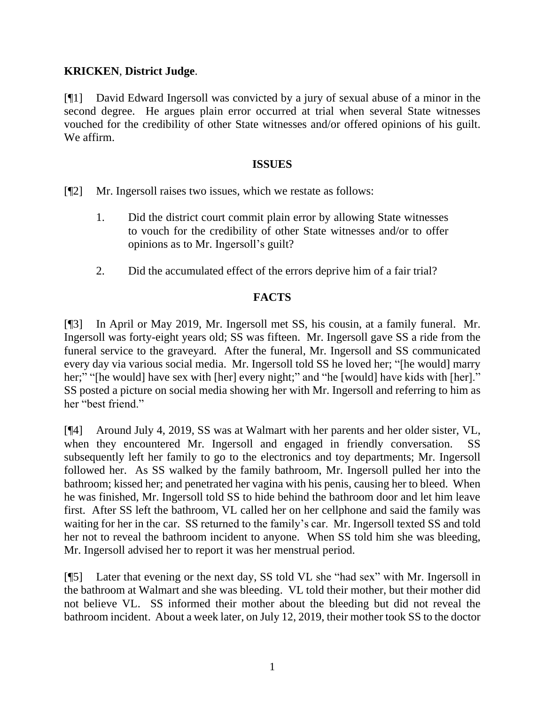### **KRICKEN**, **District Judge**.

[¶1] David Edward Ingersoll was convicted by a jury of sexual abuse of a minor in the second degree. He argues plain error occurred at trial when several State witnesses vouched for the credibility of other State witnesses and/or offered opinions of his guilt. We affirm.

### **ISSUES**

[¶2] Mr. Ingersoll raises two issues, which we restate as follows:

- 1. Did the district court commit plain error by allowing State witnesses to vouch for the credibility of other State witnesses and/or to offer opinions as to Mr. Ingersoll's guilt?
- 2. Did the accumulated effect of the errors deprive him of a fair trial?

## **FACTS**

[¶3] In April or May 2019, Mr. Ingersoll met SS, his cousin, at a family funeral. Mr. Ingersoll was forty-eight years old; SS was fifteen. Mr. Ingersoll gave SS a ride from the funeral service to the graveyard. After the funeral, Mr. Ingersoll and SS communicated every day via various social media. Mr. Ingersoll told SS he loved her; "[he would] marry her;" "[he would] have sex with [her] every night;" and "he [would] have kids with [her]." SS posted a picture on social media showing her with Mr. Ingersoll and referring to him as her "best friend."

[¶4] Around July 4, 2019, SS was at Walmart with her parents and her older sister, VL, when they encountered Mr. Ingersoll and engaged in friendly conversation. SS subsequently left her family to go to the electronics and toy departments; Mr. Ingersoll followed her. As SS walked by the family bathroom, Mr. Ingersoll pulled her into the bathroom; kissed her; and penetrated her vagina with his penis, causing her to bleed. When he was finished, Mr. Ingersoll told SS to hide behind the bathroom door and let him leave first. After SS left the bathroom, VL called her on her cellphone and said the family was waiting for her in the car. SS returned to the family's car. Mr. Ingersoll texted SS and told her not to reveal the bathroom incident to anyone. When SS told him she was bleeding, Mr. Ingersoll advised her to report it was her menstrual period.

[¶5] Later that evening or the next day, SS told VL she "had sex" with Mr. Ingersoll in the bathroom at Walmart and she was bleeding. VL told their mother, but their mother did not believe VL. SS informed their mother about the bleeding but did not reveal the bathroom incident. About a week later, on July 12, 2019, their mother took SS to the doctor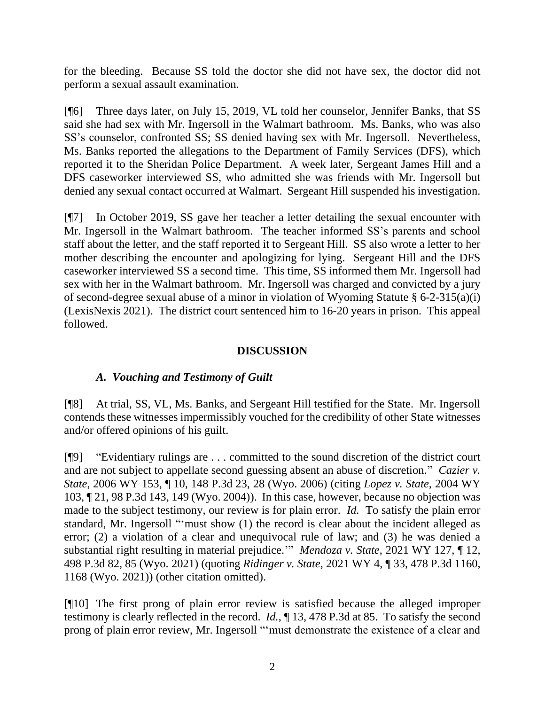for the bleeding. Because SS told the doctor she did not have sex, the doctor did not perform a sexual assault examination.

[¶6] Three days later, on July 15, 2019, VL told her counselor, Jennifer Banks, that SS said she had sex with Mr. Ingersoll in the Walmart bathroom. Ms. Banks, who was also SS's counselor, confronted SS; SS denied having sex with Mr. Ingersoll. Nevertheless, Ms. Banks reported the allegations to the Department of Family Services (DFS), which reported it to the Sheridan Police Department. A week later, Sergeant James Hill and a DFS caseworker interviewed SS, who admitted she was friends with Mr. Ingersoll but denied any sexual contact occurred at Walmart. Sergeant Hill suspended his investigation.

[¶7] In October 2019, SS gave her teacher a letter detailing the sexual encounter with Mr. Ingersoll in the Walmart bathroom. The teacher informed SS's parents and school staff about the letter, and the staff reported it to Sergeant Hill. SS also wrote a letter to her mother describing the encounter and apologizing for lying. Sergeant Hill and the DFS caseworker interviewed SS a second time. This time, SS informed them Mr. Ingersoll had sex with her in the Walmart bathroom. Mr. Ingersoll was charged and convicted by a jury of second-degree sexual abuse of a minor in violation of Wyoming Statute § 6-2-315(a)(i) (LexisNexis 2021). The district court sentenced him to 16-20 years in prison. This appeal followed.

### **DISCUSSION**

### *A. Vouching and Testimony of Guilt*

[¶8] At trial, SS, VL, Ms. Banks, and Sergeant Hill testified for the State. Mr. Ingersoll contends these witnesses impermissibly vouched for the credibility of other State witnesses and/or offered opinions of his guilt.

[¶9] "Evidentiary rulings are . . . committed to the sound discretion of the district court and are not subject to appellate second guessing absent an abuse of discretion." *Cazier v. State*, 2006 WY 153, ¶ 10, 148 P.3d 23, 28 (Wyo. 2006) (citing *Lopez v. State,* 2004 WY 103, ¶ 21, 98 P.3d 143, 149 (Wyo. 2004)). In this case, however, because no objection was made to the subject testimony, our review is for plain error. *Id.* To satisfy the plain error standard, Mr. Ingersoll "'must show (1) the record is clear about the incident alleged as error; (2) a violation of a clear and unequivocal rule of law; and (3) he was denied a substantial right resulting in material prejudice.'" *Mendoza v. State*, 2021 WY 127, ¶ 12, 498 P.3d 82, 85 (Wyo. 2021) (quoting *Ridinger v. State*, 2021 WY 4, ¶ 33, 478 P.3d 1160, 1168 (Wyo. 2021)) (other citation omitted).

[¶10] The first prong of plain error review is satisfied because the alleged improper testimony is clearly reflected in the record. *Id.*, ¶ 13, 478 P.3d at 85. To satisfy the second prong of plain error review, Mr. Ingersoll "'must demonstrate the existence of a clear and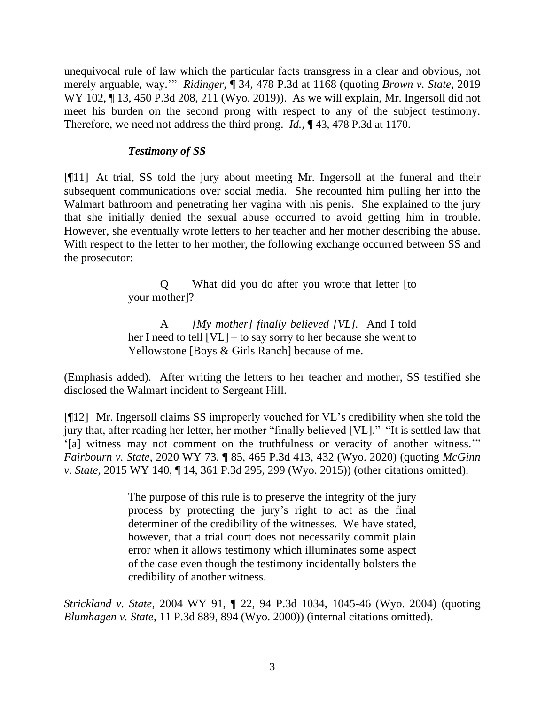unequivocal rule of law which the particular facts transgress in a clear and obvious, not merely arguable, way.'" *Ridinger*, ¶ 34, 478 P.3d at 1168 (quoting *Brown v. State*, 2019 WY 102, 13, 450 P.3d 208, 211 (Wyo. 2019)). As we will explain, Mr. Ingersoll did not meet his burden on the second prong with respect to any of the subject testimony. Therefore, we need not address the third prong. *Id.*, ¶ 43, 478 P.3d at 1170.

### *Testimony of SS*

[¶11] At trial, SS told the jury about meeting Mr. Ingersoll at the funeral and their subsequent communications over social media. She recounted him pulling her into the Walmart bathroom and penetrating her vagina with his penis. She explained to the jury that she initially denied the sexual abuse occurred to avoid getting him in trouble. However, she eventually wrote letters to her teacher and her mother describing the abuse. With respect to the letter to her mother, the following exchange occurred between SS and the prosecutor:

> Q What did you do after you wrote that letter [to your mother]?

> A *[My mother] finally believed [VL].* And I told her I need to tell [VL] – to say sorry to her because she went to Yellowstone [Boys & Girls Ranch] because of me.

(Emphasis added). After writing the letters to her teacher and mother, SS testified she disclosed the Walmart incident to Sergeant Hill.

[¶12] Mr. Ingersoll claims SS improperly vouched for VL's credibility when she told the jury that, after reading her letter, her mother "finally believed [VL]." "It is settled law that '[a] witness may not comment on the truthfulness or veracity of another witness.'" *Fairbourn v. State*, 2020 WY 73, ¶ 85, 465 P.3d 413, 432 (Wyo. 2020) (quoting *McGinn v. State*, 2015 WY 140, ¶ 14, 361 P.3d 295, 299 (Wyo. 2015)) (other citations omitted).

> The purpose of this rule is to preserve the integrity of the jury process by protecting the jury's right to act as the final determiner of the credibility of the witnesses. We have stated, however, that a trial court does not necessarily commit plain error when it allows testimony which illuminates some aspect of the case even though the testimony incidentally bolsters the credibility of another witness.

*Strickland v. State*, 2004 WY 91, ¶ 22, 94 P.3d 1034, 1045-46 (Wyo. 2004) (quoting *Blumhagen v. State*, 11 P.3d 889, 894 (Wyo. 2000)) (internal citations omitted).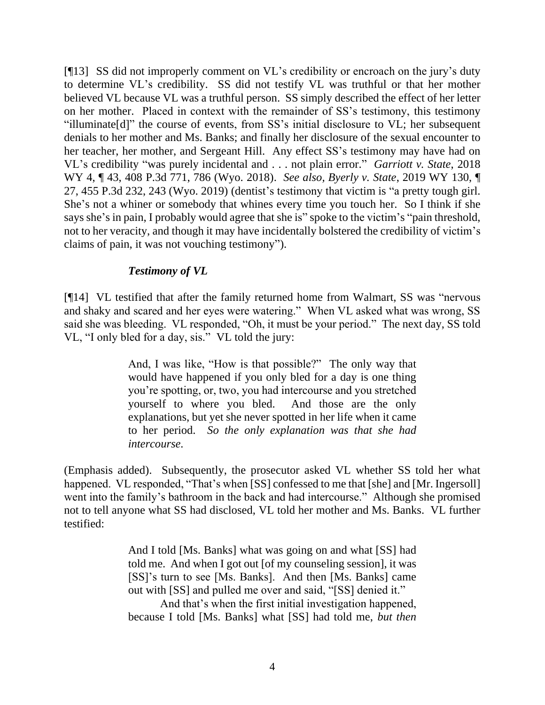[¶13] SS did not improperly comment on VL's credibility or encroach on the jury's duty to determine VL's credibility. SS did not testify VL was truthful or that her mother believed VL because VL was a truthful person. SS simply described the effect of her letter on her mother. Placed in context with the remainder of SS's testimony, this testimony "illuminate[d]" the course of events, from SS's initial disclosure to VL; her subsequent denials to her mother and Ms. Banks; and finally her disclosure of the sexual encounter to her teacher, her mother, and Sergeant Hill. Any effect SS's testimony may have had on VL's credibility "was purely incidental and . . . not plain error." *Garriott v. State*, 2018 WY 4, ¶ 43, 408 P.3d 771, 786 (Wyo. 2018). *See also, Byerly v. State*, 2019 WY 130, ¶ 27, 455 P.3d 232, 243 (Wyo. 2019) (dentist's testimony that victim is "a pretty tough girl. She's not a whiner or somebody that whines every time you touch her. So I think if she says she's in pain, I probably would agree that she is" spoke to the victim's "pain threshold, not to her veracity, and though it may have incidentally bolstered the credibility of victim's claims of pain, it was not vouching testimony").

### *Testimony of VL*

[¶14] VL testified that after the family returned home from Walmart, SS was "nervous and shaky and scared and her eyes were watering." When VL asked what was wrong, SS said she was bleeding. VL responded, "Oh, it must be your period." The next day, SS told VL, "I only bled for a day, sis." VL told the jury:

> And, I was like, "How is that possible?" The only way that would have happened if you only bled for a day is one thing you're spotting, or, two, you had intercourse and you stretched yourself to where you bled. And those are the only explanations, but yet she never spotted in her life when it came to her period. *So the only explanation was that she had intercourse.*

(Emphasis added). Subsequently, the prosecutor asked VL whether SS told her what happened. VL responded, "That's when [SS] confessed to me that [she] and [Mr. Ingersoll] went into the family's bathroom in the back and had intercourse." Although she promised not to tell anyone what SS had disclosed, VL told her mother and Ms. Banks. VL further testified:

> And I told [Ms. Banks] what was going on and what [SS] had told me. And when I got out [of my counseling session], it was [SS]'s turn to see [Ms. Banks]. And then [Ms. Banks] came out with [SS] and pulled me over and said, "[SS] denied it."

> And that's when the first initial investigation happened, because I told [Ms. Banks] what [SS] had told me, *but then*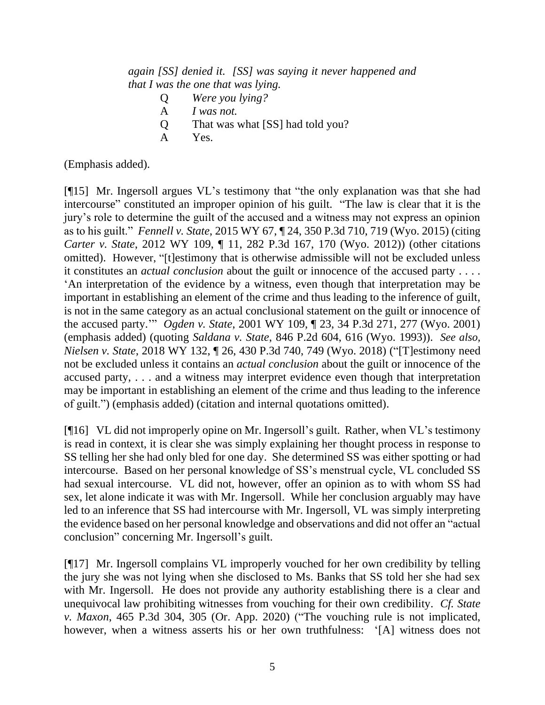*again [SS] denied it. [SS] was saying it never happened and that I was the one that was lying.*

- Q *Were you lying?*
- A *I was not.*
- Q That was what [SS] had told you?
- A Yes.

(Emphasis added).

[¶15] Mr. Ingersoll argues VL's testimony that "the only explanation was that she had intercourse" constituted an improper opinion of his guilt. "The law is clear that it is the jury's role to determine the guilt of the accused and a witness may not express an opinion as to his guilt." *Fennell v. State*, 2015 WY 67, ¶ 24, 350 P.3d 710, 719 (Wyo. 2015) (citing *Carter v. State*, 2012 WY 109, ¶ 11, 282 P.3d 167, 170 (Wyo. 2012)) (other citations omitted). However, "[t]estimony that is otherwise admissible will not be excluded unless it constitutes an *actual conclusion* about the guilt or innocence of the accused party . . . . 'An interpretation of the evidence by a witness, even though that interpretation may be important in establishing an element of the crime and thus leading to the inference of guilt, is not in the same category as an actual conclusional statement on the guilt or innocence of the accused party.'" *Ogden v. State*, 2001 WY 109, ¶ 23, 34 P.3d 271, 277 (Wyo. 2001) (emphasis added) (quoting *Saldana v. State*, 846 P.2d 604, 616 (Wyo. 1993)). *See also, Nielsen v. State*, 2018 WY 132, ¶ 26, 430 P.3d 740, 749 (Wyo. 2018) ("[T]estimony need not be excluded unless it contains an *actual conclusion* about the guilt or innocence of the accused party, . . . and a witness may interpret evidence even though that interpretation may be important in establishing an element of the crime and thus leading to the inference of guilt.") (emphasis added) (citation and internal quotations omitted).

[¶16] VL did not improperly opine on Mr. Ingersoll's guilt. Rather, when VL's testimony is read in context, it is clear she was simply explaining her thought process in response to SS telling her she had only bled for one day. She determined SS was either spotting or had intercourse. Based on her personal knowledge of SS's menstrual cycle, VL concluded SS had sexual intercourse. VL did not, however, offer an opinion as to with whom SS had sex, let alone indicate it was with Mr. Ingersoll. While her conclusion arguably may have led to an inference that SS had intercourse with Mr. Ingersoll, VL was simply interpreting the evidence based on her personal knowledge and observations and did not offer an "actual conclusion" concerning Mr. Ingersoll's guilt.

[¶17] Mr. Ingersoll complains VL improperly vouched for her own credibility by telling the jury she was not lying when she disclosed to Ms. Banks that SS told her she had sex with Mr. Ingersoll. He does not provide any authority establishing there is a clear and unequivocal law prohibiting witnesses from vouching for their own credibility. *Cf. State v. Maxon*, 465 P.3d 304, 305 (Or. App. 2020) ("The vouching rule is not implicated, however, when a witness asserts his or her own truthfulness: '[A] witness does not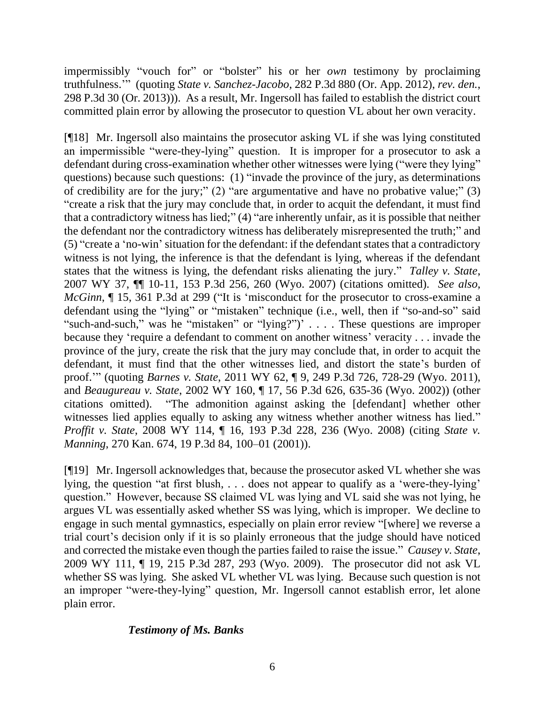impermissibly "vouch for" or "bolster" his or her *own* testimony by proclaiming truthfulness.'" (quoting *State v. Sanchez-Jacobo*, 282 P.3d 880 (Or. App. 2012), *rev. den.*, 298 P.3d 30 (Or. 2013))). As a result, Mr. Ingersoll has failed to establish the district court committed plain error by allowing the prosecutor to question VL about her own veracity.

[¶18] Mr. Ingersoll also maintains the prosecutor asking VL if she was lying constituted an impermissible "were-they-lying" question. It is improper for a prosecutor to ask a defendant during cross-examination whether other witnesses were lying ("were they lying" questions) because such questions: (1) "invade the province of the jury, as determinations of credibility are for the jury;" (2) "are argumentative and have no probative value;" (3) "create a risk that the jury may conclude that, in order to acquit the defendant, it must find that a contradictory witness has lied;" (4) "are inherently unfair, as it is possible that neither the defendant nor the contradictory witness has deliberately misrepresented the truth;" and (5) "create a 'no-win' situation for the defendant: if the defendant states that a contradictory witness is not lying, the inference is that the defendant is lying, whereas if the defendant states that the witness is lying, the defendant risks alienating the jury." *Talley v. State*, 2007 WY 37, ¶¶ 10-11, 153 P.3d 256, 260 (Wyo. 2007) (citations omitted). *See also, McGinn*,  $\P$  15, 361 P.3d at 299 ("It is 'misconduct for the prosecutor to cross-examine a defendant using the "lying" or "mistaken" technique (i.e., well, then if "so-and-so" said "such-and-such," was he "mistaken" or "lying?")' . . . . These questions are improper because they 'require a defendant to comment on another witness' veracity . . . invade the province of the jury, create the risk that the jury may conclude that, in order to acquit the defendant, it must find that the other witnesses lied, and distort the state's burden of proof.'" (quoting *Barnes v. State*, 2011 WY 62, ¶ 9, 249 P.3d 726, 728-29 (Wyo. 2011), and *Beaugureau v. State*, 2002 WY 160, ¶ 17, 56 P.3d 626, 635-36 (Wyo. 2002)) (other citations omitted). "The admonition against asking the [defendant] whether other witnesses lied applies equally to asking any witness whether another witness has lied." *Proffit v. State*, 2008 WY 114, ¶ 16, 193 P.3d 228, 236 (Wyo. 2008) (citing *State v. Manning*, 270 Kan. 674, 19 P.3d 84, 100–01 (2001)).

[¶19] Mr. Ingersoll acknowledges that, because the prosecutor asked VL whether she was lying, the question "at first blush, . . . does not appear to qualify as a 'were-they-lying' question." However, because SS claimed VL was lying and VL said she was not lying, he argues VL was essentially asked whether SS was lying, which is improper. We decline to engage in such mental gymnastics, especially on plain error review "[where] we reverse a trial court's decision only if it is so plainly erroneous that the judge should have noticed and corrected the mistake even though the parties failed to raise the issue." *Causey v. State*, 2009 WY 111, ¶ 19, 215 P.3d 287, 293 (Wyo. 2009). The prosecutor did not ask VL whether SS was lying. She asked VL whether VL was lying. Because such question is not an improper "were-they-lying" question, Mr. Ingersoll cannot establish error, let alone plain error.

### *Testimony of Ms. Banks*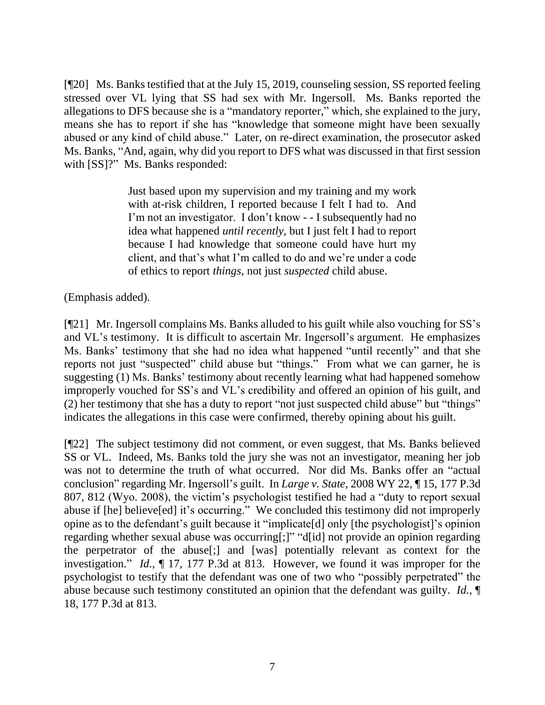[¶20] Ms. Banks testified that at the July 15, 2019, counseling session, SS reported feeling stressed over VL lying that SS had sex with Mr. Ingersoll. Ms. Banks reported the allegations to DFS because she is a "mandatory reporter," which, she explained to the jury, means she has to report if she has "knowledge that someone might have been sexually abused or any kind of child abuse." Later, on re-direct examination, the prosecutor asked Ms. Banks, "And, again, why did you report to DFS what was discussed in that first session with [SS]?" Ms. Banks responded:

> Just based upon my supervision and my training and my work with at-risk children, I reported because I felt I had to. And I'm not an investigator. I don't know - - I subsequently had no idea what happened *until recently*, but I just felt I had to report because I had knowledge that someone could have hurt my client, and that's what I'm called to do and we're under a code of ethics to report *things*, not just *suspected* child abuse.

(Emphasis added).

[¶21] Mr. Ingersoll complains Ms. Banks alluded to his guilt while also vouching for SS's and VL's testimony. It is difficult to ascertain Mr. Ingersoll's argument. He emphasizes Ms. Banks' testimony that she had no idea what happened "until recently" and that she reports not just "suspected" child abuse but "things." From what we can garner, he is suggesting (1) Ms. Banks' testimony about recently learning what had happened somehow improperly vouched for SS's and VL's credibility and offered an opinion of his guilt, and (2) her testimony that she has a duty to report "not just suspected child abuse" but "things" indicates the allegations in this case were confirmed, thereby opining about his guilt.

[¶22] The subject testimony did not comment, or even suggest, that Ms. Banks believed SS or VL. Indeed, Ms. Banks told the jury she was not an investigator, meaning her job was not to determine the truth of what occurred. Nor did Ms. Banks offer an "actual conclusion" regarding Mr. Ingersoll's guilt. In *Large v. State*, 2008 WY 22, ¶ 15, 177 P.3d 807, 812 (Wyo. 2008), the victim's psychologist testified he had a "duty to report sexual abuse if [he] believe[ed] it's occurring." We concluded this testimony did not improperly opine as to the defendant's guilt because it "implicate[d] only [the psychologist]'s opinion regarding whether sexual abuse was occurring[;]" "d[id] not provide an opinion regarding the perpetrator of the abuse[;] and [was] potentially relevant as context for the investigation." *Id.*, ¶ 17, 177 P.3d at 813. However, we found it was improper for the psychologist to testify that the defendant was one of two who "possibly perpetrated" the abuse because such testimony constituted an opinion that the defendant was guilty. *Id.*, ¶ 18, 177 P.3d at 813.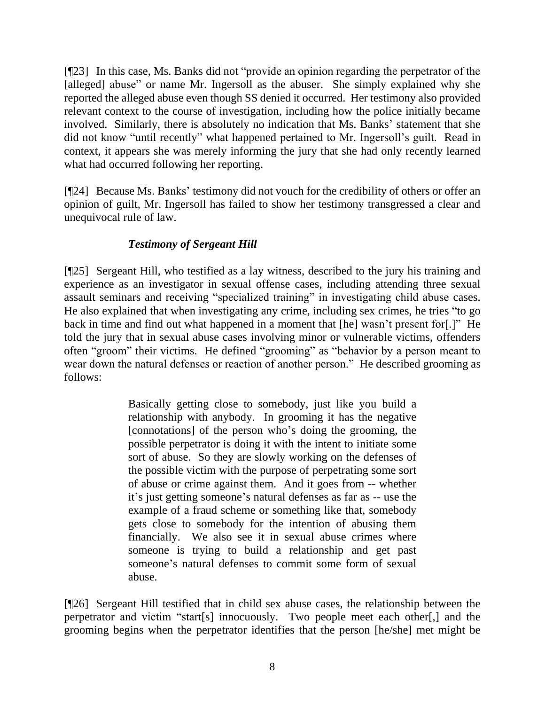[¶23] In this case, Ms. Banks did not "provide an opinion regarding the perpetrator of the [alleged] abuse" or name Mr. Ingersoll as the abuser. She simply explained why she reported the alleged abuse even though SS denied it occurred. Her testimony also provided relevant context to the course of investigation, including how the police initially became involved. Similarly, there is absolutely no indication that Ms. Banks' statement that she did not know "until recently" what happened pertained to Mr. Ingersoll's guilt. Read in context, it appears she was merely informing the jury that she had only recently learned what had occurred following her reporting.

[¶24] Because Ms. Banks' testimony did not vouch for the credibility of others or offer an opinion of guilt, Mr. Ingersoll has failed to show her testimony transgressed a clear and unequivocal rule of law.

# *Testimony of Sergeant Hill*

[¶25] Sergeant Hill, who testified as a lay witness, described to the jury his training and experience as an investigator in sexual offense cases, including attending three sexual assault seminars and receiving "specialized training" in investigating child abuse cases. He also explained that when investigating any crime, including sex crimes, he tries "to go back in time and find out what happened in a moment that [he] wasn't present for[.]" He told the jury that in sexual abuse cases involving minor or vulnerable victims, offenders often "groom" their victims. He defined "grooming" as "behavior by a person meant to wear down the natural defenses or reaction of another person." He described grooming as follows:

> Basically getting close to somebody, just like you build a relationship with anybody. In grooming it has the negative [connotations] of the person who's doing the grooming, the possible perpetrator is doing it with the intent to initiate some sort of abuse. So they are slowly working on the defenses of the possible victim with the purpose of perpetrating some sort of abuse or crime against them. And it goes from -- whether it's just getting someone's natural defenses as far as -- use the example of a fraud scheme or something like that, somebody gets close to somebody for the intention of abusing them financially. We also see it in sexual abuse crimes where someone is trying to build a relationship and get past someone's natural defenses to commit some form of sexual abuse.

[¶26] Sergeant Hill testified that in child sex abuse cases, the relationship between the perpetrator and victim "start[s] innocuously. Two people meet each other[,] and the grooming begins when the perpetrator identifies that the person [he/she] met might be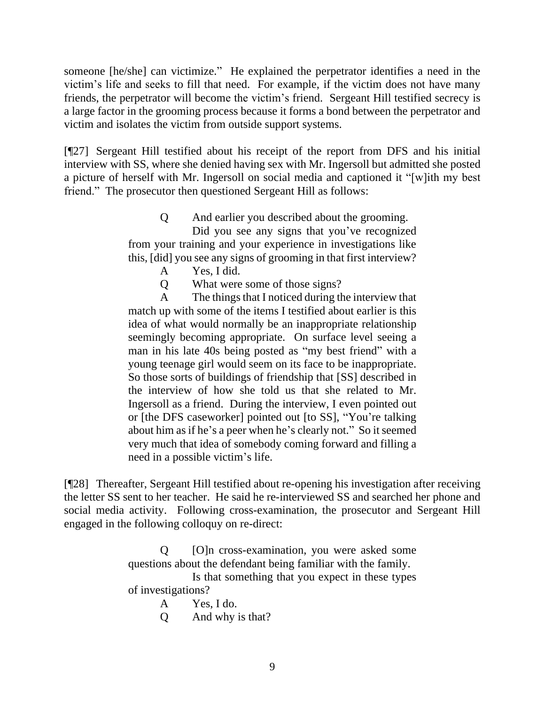someone [he/she] can victimize." He explained the perpetrator identifies a need in the victim's life and seeks to fill that need. For example, if the victim does not have many friends, the perpetrator will become the victim's friend. Sergeant Hill testified secrecy is a large factor in the grooming process because it forms a bond between the perpetrator and victim and isolates the victim from outside support systems.

[¶27] Sergeant Hill testified about his receipt of the report from DFS and his initial interview with SS, where she denied having sex with Mr. Ingersoll but admitted she posted a picture of herself with Mr. Ingersoll on social media and captioned it "[w]ith my best friend." The prosecutor then questioned Sergeant Hill as follows:

> Q And earlier you described about the grooming. Did you see any signs that you've recognized from your training and your experience in investigations like this, [did] you see any signs of grooming in that first interview?

- A Yes, I did.
- Q What were some of those signs?

A The things that I noticed during the interview that match up with some of the items I testified about earlier is this idea of what would normally be an inappropriate relationship seemingly becoming appropriate. On surface level seeing a man in his late 40s being posted as "my best friend" with a young teenage girl would seem on its face to be inappropriate. So those sorts of buildings of friendship that [SS] described in the interview of how she told us that she related to Mr. Ingersoll as a friend. During the interview, I even pointed out or [the DFS caseworker] pointed out [to SS], "You're talking about him as if he's a peer when he's clearly not." So it seemed very much that idea of somebody coming forward and filling a need in a possible victim's life.

[¶28] Thereafter, Sergeant Hill testified about re-opening his investigation after receiving the letter SS sent to her teacher. He said he re-interviewed SS and searched her phone and social media activity. Following cross-examination, the prosecutor and Sergeant Hill engaged in the following colloquy on re-direct:

> Q [O]n cross-examination, you were asked some questions about the defendant being familiar with the family. Is that something that you expect in these types of investigations? A Yes, I do.

> > Q And why is that?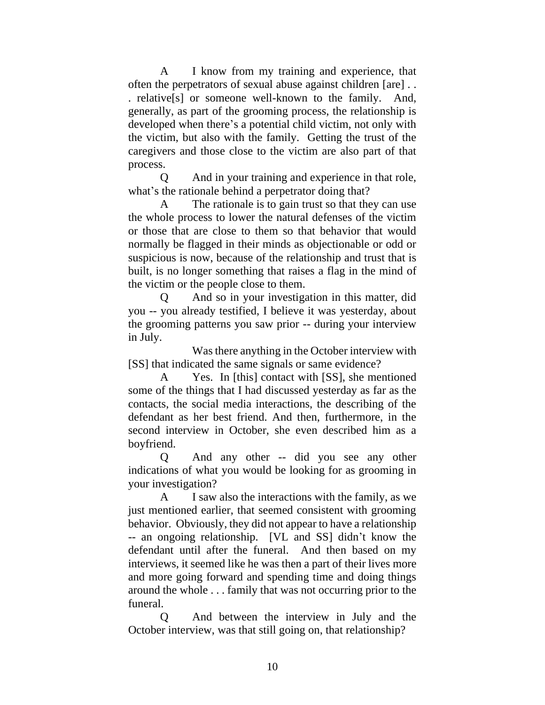A I know from my training and experience, that often the perpetrators of sexual abuse against children [are] . . . relative[s] or someone well-known to the family. And, generally, as part of the grooming process, the relationship is developed when there's a potential child victim, not only with the victim, but also with the family. Getting the trust of the caregivers and those close to the victim are also part of that process.

Q And in your training and experience in that role, what's the rationale behind a perpetrator doing that?

A The rationale is to gain trust so that they can use the whole process to lower the natural defenses of the victim or those that are close to them so that behavior that would normally be flagged in their minds as objectionable or odd or suspicious is now, because of the relationship and trust that is built, is no longer something that raises a flag in the mind of the victim or the people close to them.

Q And so in your investigation in this matter, did you -- you already testified, I believe it was yesterday, about the grooming patterns you saw prior -- during your interview in July.

Was there anything in the October interview with [SS] that indicated the same signals or same evidence?

A Yes. In [this] contact with [SS], she mentioned some of the things that I had discussed yesterday as far as the contacts, the social media interactions, the describing of the defendant as her best friend. And then, furthermore, in the second interview in October, she even described him as a boyfriend.

Q And any other -- did you see any other indications of what you would be looking for as grooming in your investigation?

A I saw also the interactions with the family, as we just mentioned earlier, that seemed consistent with grooming behavior. Obviously, they did not appear to have a relationship -- an ongoing relationship. [VL and SS] didn't know the defendant until after the funeral. And then based on my interviews, it seemed like he was then a part of their lives more and more going forward and spending time and doing things around the whole . . . family that was not occurring prior to the funeral.

Q And between the interview in July and the October interview, was that still going on, that relationship?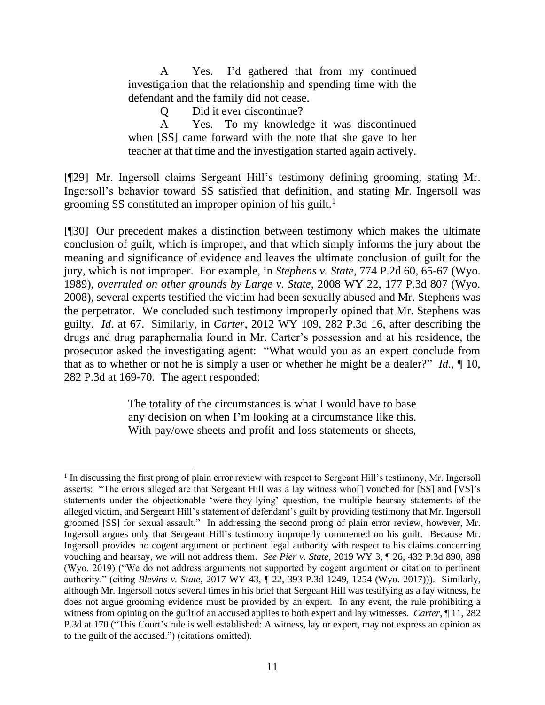A Yes. I'd gathered that from my continued investigation that the relationship and spending time with the defendant and the family did not cease.

Q Did it ever discontinue?

A Yes. To my knowledge it was discontinued when [SS] came forward with the note that she gave to her teacher at that time and the investigation started again actively.

[¶29] Mr. Ingersoll claims Sergeant Hill's testimony defining grooming, stating Mr. Ingersoll's behavior toward SS satisfied that definition, and stating Mr. Ingersoll was grooming SS constituted an improper opinion of his guilt. 1

[¶30] Our precedent makes a distinction between testimony which makes the ultimate conclusion of guilt, which is improper, and that which simply informs the jury about the meaning and significance of evidence and leaves the ultimate conclusion of guilt for the jury, which is not improper. For example, in *Stephens v. State*, 774 P.2d 60, 65-67 (Wyo. 1989), *overruled on other grounds by Large v. State*, 2008 WY 22, 177 P.3d 807 (Wyo. 2008), several experts testified the victim had been sexually abused and Mr. Stephens was the perpetrator. We concluded such testimony improperly opined that Mr. Stephens was guilty. *Id*. at 67. Similarly, in *Carter,* 2012 WY 109, 282 P.3d 16*,* after describing the drugs and drug paraphernalia found in Mr. Carter's possession and at his residence, the prosecutor asked the investigating agent: "What would you as an expert conclude from that as to whether or not he is simply a user or whether he might be a dealer?" *Id.,* ¶ 10, 282 P.3d at 169-70. The agent responded:

> The totality of the circumstances is what I would have to base any decision on when I'm looking at a circumstance like this. With pay/owe sheets and profit and loss statements or sheets,

<sup>&</sup>lt;sup>1</sup> In discussing the first prong of plain error review with respect to Sergeant Hill's testimony, Mr. Ingersoll asserts: "The errors alleged are that Sergeant Hill was a lay witness who[] vouched for [SS] and [VS]'s statements under the objectionable 'were-they-lying' question, the multiple hearsay statements of the alleged victim, and Sergeant Hill's statement of defendant's guilt by providing testimony that Mr. Ingersoll groomed [SS] for sexual assault." In addressing the second prong of plain error review, however, Mr. Ingersoll argues only that Sergeant Hill's testimony improperly commented on his guilt. Because Mr. Ingersoll provides no cogent argument or pertinent legal authority with respect to his claims concerning vouching and hearsay, we will not address them. *See Pier v. State*, 2019 WY 3, ¶ 26, 432 P.3d 890, 898 (Wyo. 2019) ("We do not address arguments not supported by cogent argument or citation to pertinent authority." (citing *Blevins v. State*, 2017 WY 43, ¶ 22, 393 P.3d 1249, 1254 (Wyo. 2017))). Similarly, although Mr. Ingersoll notes several times in his brief that Sergeant Hill was testifying as a lay witness, he does not argue grooming evidence must be provided by an expert. In any event, the rule prohibiting a witness from opining on the guilt of an accused applies to both expert and lay witnesses. *Carter*, ¶ 11, 282 P.3d at 170 ("This Court's rule is well established: A witness, lay or expert, may not express an opinion as to the guilt of the accused.") (citations omitted).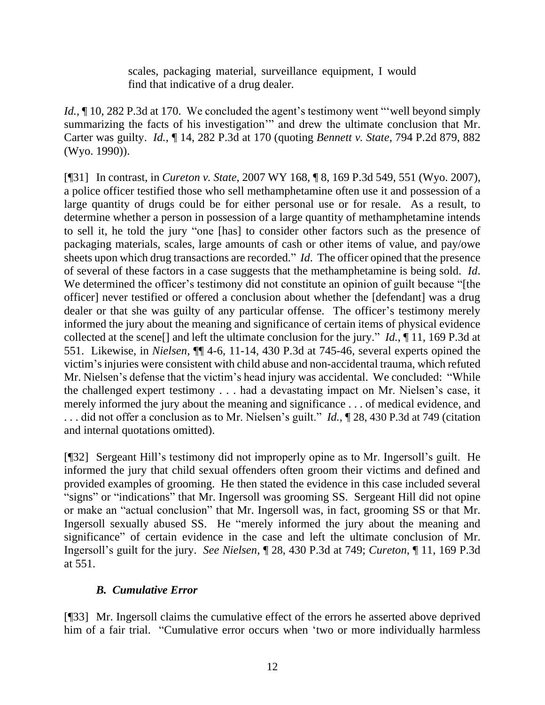scales, packaging material, surveillance equipment, I would find that indicative of a drug dealer.

*Id.*,  $\sim$  10, 282 P.3d at 170. We concluded the agent's testimony went "well beyond simply summarizing the facts of his investigation'" and drew the ultimate conclusion that Mr. Carter was guilty. *Id.*, ¶ 14, 282 P.3d at 170 (quoting *Bennett v. State*, 794 P.2d 879, 882 (Wyo. 1990)).

[¶31] In contrast, in *Cureton v. State*, 2007 WY 168, ¶ 8, 169 P.3d 549, 551 (Wyo. 2007), a police officer testified those who sell methamphetamine often use it and possession of a large quantity of drugs could be for either personal use or for resale. As a result, to determine whether a person in possession of a large quantity of methamphetamine intends to sell it, he told the jury "one [has] to consider other factors such as the presence of packaging materials, scales, large amounts of cash or other items of value, and pay/owe sheets upon which drug transactions are recorded." *Id*. The officer opined that the presence of several of these factors in a case suggests that the methamphetamine is being sold. *Id*. We determined the officer's testimony did not constitute an opinion of guilt because "[the officer] never testified or offered a conclusion about whether the [defendant] was a drug dealer or that she was guilty of any particular offense. The officer's testimony merely informed the jury about the meaning and significance of certain items of physical evidence collected at the scene[] and left the ultimate conclusion for the jury." *Id.*, ¶ 11, 169 P.3d at 551. Likewise, in *Nielsen*, ¶¶ 4-6, 11-14, 430 P.3d at 745-46, several experts opined the victim's injuries were consistent with child abuse and non-accidental trauma, which refuted Mr. Nielsen's defense that the victim's head injury was accidental. We concluded: "While the challenged expert testimony . . . had a devastating impact on Mr. Nielsen's case, it merely informed the jury about the meaning and significance . . . of medical evidence, and . . . did not offer a conclusion as to Mr. Nielsen's guilt." *Id.*, ¶ 28, 430 P.3d at 749 (citation and internal quotations omitted).

[¶32] Sergeant Hill's testimony did not improperly opine as to Mr. Ingersoll's guilt. He informed the jury that child sexual offenders often groom their victims and defined and provided examples of grooming. He then stated the evidence in this case included several "signs" or "indications" that Mr. Ingersoll was grooming SS. Sergeant Hill did not opine or make an "actual conclusion" that Mr. Ingersoll was, in fact, grooming SS or that Mr. Ingersoll sexually abused SS. He "merely informed the jury about the meaning and significance" of certain evidence in the case and left the ultimate conclusion of Mr. Ingersoll's guilt for the jury. *See Nielsen*, ¶ 28, 430 P.3d at 749; *Cureton*, ¶ 11, 169 P.3d at 551.

## *B. Cumulative Error*

[¶33] Mr. Ingersoll claims the cumulative effect of the errors he asserted above deprived him of a fair trial. "Cumulative error occurs when 'two or more individually harmless